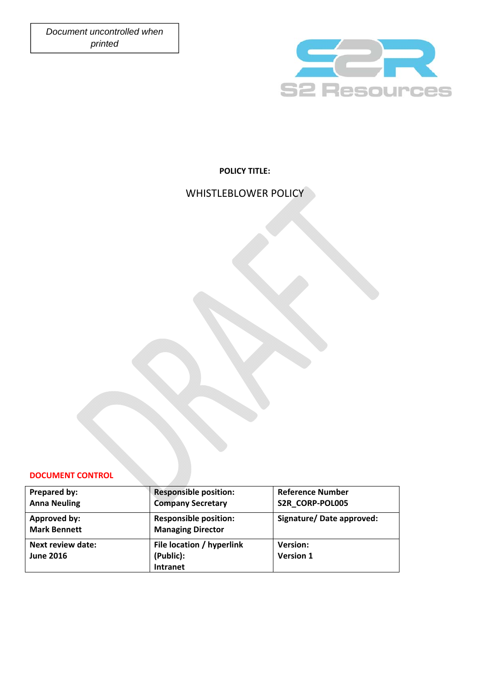*Document uncontrolled when*   *printed* 



# **POLICY TITLE:**

# WHISTLEBLOWER POLICY

### **DOCUMENT CONTROL**

| Prepared by:                                 | <b>Responsible position:</b>                              | <b>Reference Number</b>             |
|----------------------------------------------|-----------------------------------------------------------|-------------------------------------|
| <b>Anna Neuling</b>                          | <b>Company Secretary</b>                                  | S2R_CORP-POL005                     |
| Approved by:<br><b>Mark Bennett</b>          | <b>Responsible position:</b><br><b>Managing Director</b>  | Signature/Date approved:            |
| <b>Next review date:</b><br><b>June 2016</b> | File location / hyperlink<br>(Public):<br><b>Intranet</b> | <b>Version:</b><br><b>Version 1</b> |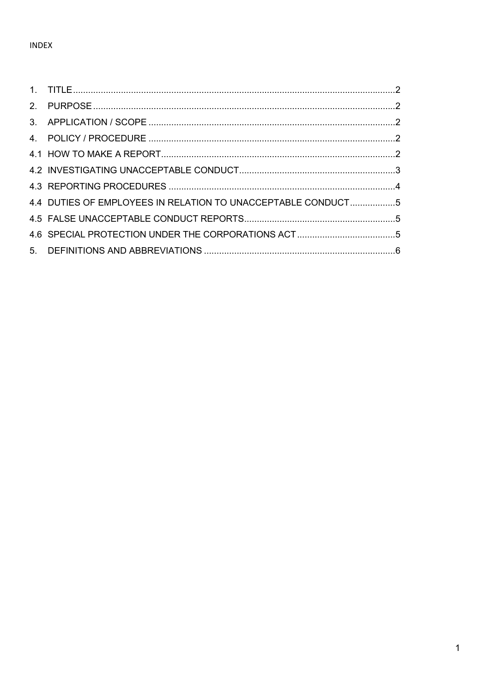| 4.4 DUTIES OF EMPLOYEES IN RELATION TO UNACCEPTABLE CONDUCT5 |  |
|--------------------------------------------------------------|--|
|                                                              |  |
|                                                              |  |
|                                                              |  |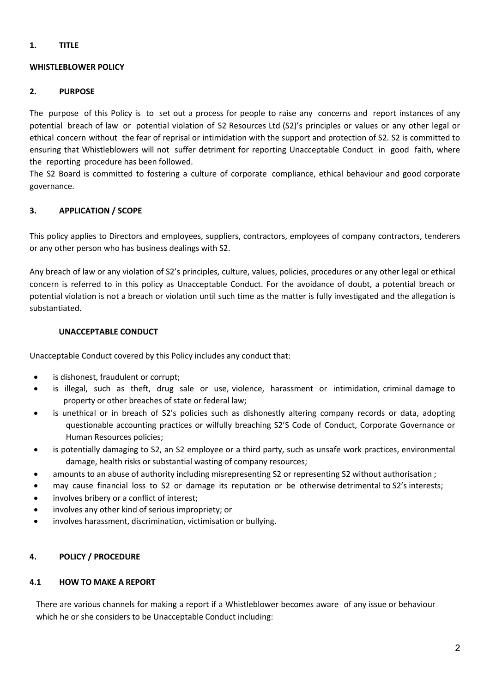# **1. TITLE**

# **WHISTLEBLOWER POLICY**

### **2. PURPOSE**

The purpose of this Policy is to set out a process for people to raise any concerns and report instances of any potential breach of law or potential violation of S2 Resources Ltd (S2)'s principles or values or any other legal or ethical concern without the fear of reprisal or intimidation with the support and protection of S2. S2 is committed to ensuring that Whistleblowers will not suffer detriment for reporting Unacceptable Conduct in good faith, where the reporting procedure has been followed.

The S2 Board is committed to fostering a culture of corporate compliance, ethical behaviour and good corporate governance.

# **3. APPLICATION / SCOPE**

This policy applies to Directors and employees, suppliers, contractors, employees of company contractors, tenderers or any other person who has business dealings with S2.

Any breach of law or any violation of S2's principles, culture, values, policies, procedures or any other legal or ethical concern is referred to in this policy as Unacceptable Conduct. For the avoidance of doubt, a potential breach or potential violation is not a breach or violation until such time as the matter is fully investigated and the allegation is substantiated.

### **UNACCEPTABLE CONDUCT**

Unacceptable Conduct covered by this Policy includes any conduct that:

- is dishonest, fraudulent or corrupt;
- is illegal, such as theft, drug sale or use, violence, harassment or intimidation, criminal damage to property or other breaches of state or federal law;
- is unethical or in breach of S2's policies such as dishonestly altering company records or data, adopting questionable accounting practices or wilfully breaching S2'S Code of Conduct, Corporate Governance or Human Resources policies;
- is potentially damaging to S2, an S2 employee or a third party, such as unsafe work practices, environmental damage, health risks or substantial wasting of company resources;
- amounts to an abuse of authority including misrepresenting S2 or representing S2 without authorisation ;
- may cause financial loss to S2 or damage its reputation or be otherwise detrimental to S2's interests;
- involves bribery or a conflict of interest;
- involves any other kind of serious impropriety; or
- involves harassment, discrimination, victimisation or bullying.

### **4. POLICY / PROCEDURE**

#### **4.1 HOW TO MAKE A REPORT**

There are various channels for making a report if a Whistleblower becomes aware of any issue or behaviour which he or she considers to be Unacceptable Conduct including: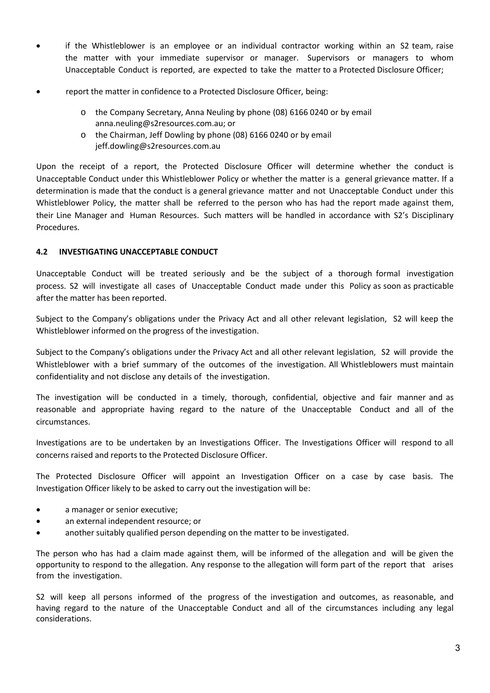- if the Whistleblower is an employee or an individual contractor working within an S2 team, raise the matter with your immediate supervisor or manager. Supervisors or managers to whom Unacceptable Conduct is reported, are expected to take the matter to a Protected Disclosure Officer;
- report the matter in confidence to a Protected Disclosure Officer, being:
	- o the Company Secretary, Anna Neuling by phone (08) 6166 0240 or by email anna.neuling@s2resources.com.au; or
	- o the Chairman, Jeff Dowling by phone (08) 6166 0240 or by email jeff.dowling@s2resources.com.au

Upon the receipt of a report, the Protected Disclosure Officer will determine whether the conduct is Unacceptable Conduct under this Whistleblower Policy or whether the matter is a general grievance matter. If a determination is made that the conduct is a general grievance matter and not Unacceptable Conduct under this Whistleblower Policy, the matter shall be referred to the person who has had the report made against them, their Line Manager and Human Resources. Such matters will be handled in accordance with S2's Disciplinary Procedures.

### **4.2 INVESTIGATING UNACCEPTABLE CONDUCT**

Unacceptable Conduct will be treated seriously and be the subject of a thorough formal investigation process. S2 will investigate all cases of Unacceptable Conduct made under this Policy as soon as practicable after the matter has been reported.

Subject to the Company's obligations under the Privacy Act and all other relevant legislation, S2 will keep the Whistleblower informed on the progress of the investigation.

Subject to the Company's obligations under the Privacy Act and all other relevant legislation, S2 will provide the Whistleblower with a brief summary of the outcomes of the investigation. All Whistleblowers must maintain confidentiality and not disclose any details of the investigation.

The investigation will be conducted in a timely, thorough, confidential, objective and fair manner and as reasonable and appropriate having regard to the nature of the Unacceptable Conduct and all of the circumstances.

Investigations are to be undertaken by an Investigations Officer. The Investigations Officer will respond to all concerns raised and reports to the Protected Disclosure Officer.

The Protected Disclosure Officer will appoint an Investigation Officer on a case by case basis. The Investigation Officer likely to be asked to carry out the investigation will be:

- a manager or senior executive;
- an external independent resource; or
- another suitably qualified person depending on the matter to be investigated.

The person who has had a claim made against them, will be informed of the allegation and will be given the opportunity to respond to the allegation. Any response to the allegation will form part of the report that arises from the investigation.

S2 will keep all persons informed of the progress of the investigation and outcomes, as reasonable, and having regard to the nature of the Unacceptable Conduct and all of the circumstances including any legal considerations.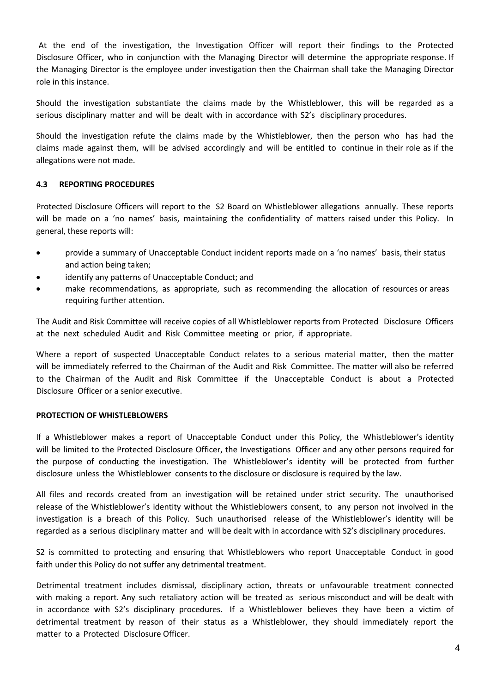At the end of the investigation, the Investigation Officer will report their findings to the Protected Disclosure Officer, who in conjunction with the Managing Director will determine the appropriate response. If the Managing Director is the employee under investigation then the Chairman shall take the Managing Director role in this instance.

Should the investigation substantiate the claims made by the Whistleblower, this will be regarded as a serious disciplinary matter and will be dealt with in accordance with S2's disciplinary procedures.

Should the investigation refute the claims made by the Whistleblower, then the person who has had the claims made against them, will be advised accordingly and will be entitled to continue in their role as if the allegations were not made.

### **4.3 REPORTING PROCEDURES**

Protected Disclosure Officers will report to the S2 Board on Whistleblower allegations annually. These reports will be made on a 'no names' basis, maintaining the confidentiality of matters raised under this Policy. In general, these reports will:

- provide a summary of Unacceptable Conduct incident reports made on a 'no names' basis, their status and action being taken;
- identify any patterns of Unacceptable Conduct; and
- make recommendations, as appropriate, such as recommending the allocation of resources or areas requiring further attention.

The Audit and Risk Committee will receive copies of all Whistleblower reports from Protected Disclosure Officers at the next scheduled Audit and Risk Committee meeting or prior, if appropriate.

Where a report of suspected Unacceptable Conduct relates to a serious material matter, then the matter will be immediately referred to the Chairman of the Audit and Risk Committee. The matter will also be referred to the Chairman of the Audit and Risk Committee if the Unacceptable Conduct is about a Protected Disclosure Officer or a senior executive.

#### **PROTECTION OF WHISTLEBLOWERS**

If a Whistleblower makes a report of Unacceptable Conduct under this Policy, the Whistleblower's identity will be limited to the Protected Disclosure Officer, the Investigations Officer and any other persons required for the purpose of conducting the investigation. The Whistleblower's identity will be protected from further disclosure unless the Whistleblower consents to the disclosure or disclosure is required by the law.

All files and records created from an investigation will be retained under strict security. The unauthorised release of the Whistleblower's identity without the Whistleblowers consent, to any person not involved in the investigation is a breach of this Policy. Such unauthorised release of the Whistleblower's identity will be regarded as a serious disciplinary matter and will be dealt with in accordance with S2's disciplinary procedures.

S2 is committed to protecting and ensuring that Whistleblowers who report Unacceptable Conduct in good faith under this Policy do not suffer any detrimental treatment.

Detrimental treatment includes dismissal, disciplinary action, threats or unfavourable treatment connected with making a report. Any such retaliatory action will be treated as serious misconduct and will be dealt with in accordance with S2's disciplinary procedures. If a Whistleblower believes they have been a victim of detrimental treatment by reason of their status as a Whistleblower, they should immediately report the matter to a Protected Disclosure Officer.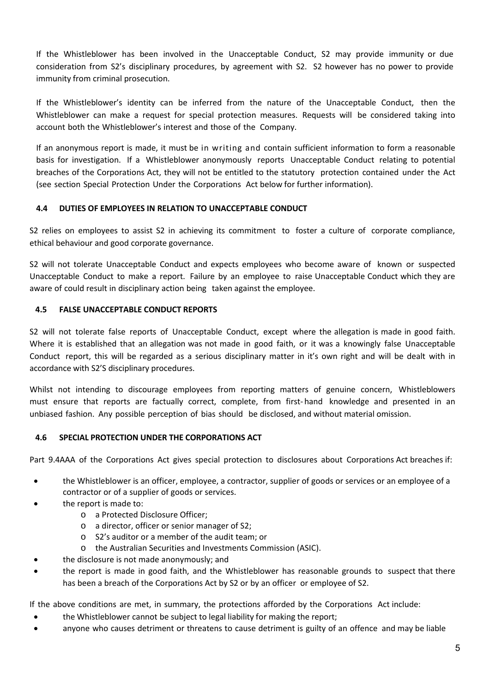If the Whistleblower has been involved in the Unacceptable Conduct, S2 may provide immunity or due consideration from S2's disciplinary procedures, by agreement with S2. S2 however has no power to provide immunity from criminal prosecution.

If the Whistleblower's identity can be inferred from the nature of the Unacceptable Conduct, then the Whistleblower can make a request for special protection measures. Requests will be considered taking into account both the Whistleblower's interest and those of the Company.

If an anonymous report is made, it must be in writing and contain sufficient information to form a reasonable basis for investigation. If a Whistleblower anonymously reports Unacceptable Conduct relating to potential breaches of the Corporations Act, they will not be entitled to the statutory protection contained under the Act (see section Special Protection Under the Corporations Act below for further information).

# **4.4 DUTIES OF EMPLOYEES IN RELATION TO UNACCEPTABLE CONDUCT**

S2 relies on employees to assist S2 in achieving its commitment to foster a culture of corporate compliance, ethical behaviour and good corporate governance.

S2 will not tolerate Unacceptable Conduct and expects employees who become aware of known or suspected Unacceptable Conduct to make a report. Failure by an employee to raise Unacceptable Conduct which they are aware of could result in disciplinary action being taken against the employee.

# **4.5 FALSE UNACCEPTABLE CONDUCT REPORTS**

S2 will not tolerate false reports of Unacceptable Conduct, except where the allegation is made in good faith. Where it is established that an allegation was not made in good faith, or it was a knowingly false Unacceptable Conduct report, this will be regarded as a serious disciplinary matter in it's own right and will be dealt with in accordance with S2'S disciplinary procedures.

Whilst not intending to discourage employees from reporting matters of genuine concern, Whistleblowers must ensure that reports are factually correct, complete, from first-hand knowledge and presented in an unbiased fashion. Any possible perception of bias should be disclosed, and without material omission.

### **4.6 SPECIAL PROTECTION UNDER THE CORPORATIONS ACT**

Part 9.4AAA of the Corporations Act gives special protection to disclosures about Corporations Act breaches if:

- the Whistleblower is an officer, employee, a contractor, supplier of goods or services or an employee of a contractor or of a supplier of goods or services.
- the report is made to:
	- o a Protected Disclosure Officer;
	- o a director, officer or senior manager of S2;
	- o S2's auditor or a member of the audit team; or
	- o the Australian Securities and Investments Commission (ASIC).
	- the disclosure is not made anonymously; and
- the report is made in good faith, and the Whistleblower has reasonable grounds to suspect that there has been a breach of the Corporations Act by S2 or by an officer or employee of S2.

If the above conditions are met, in summary, the protections afforded by the Corporations Act include:

- the Whistleblower cannot be subject to legal liability for making the report;
- anyone who causes detriment or threatens to cause detriment is guilty of an offence and may be liable